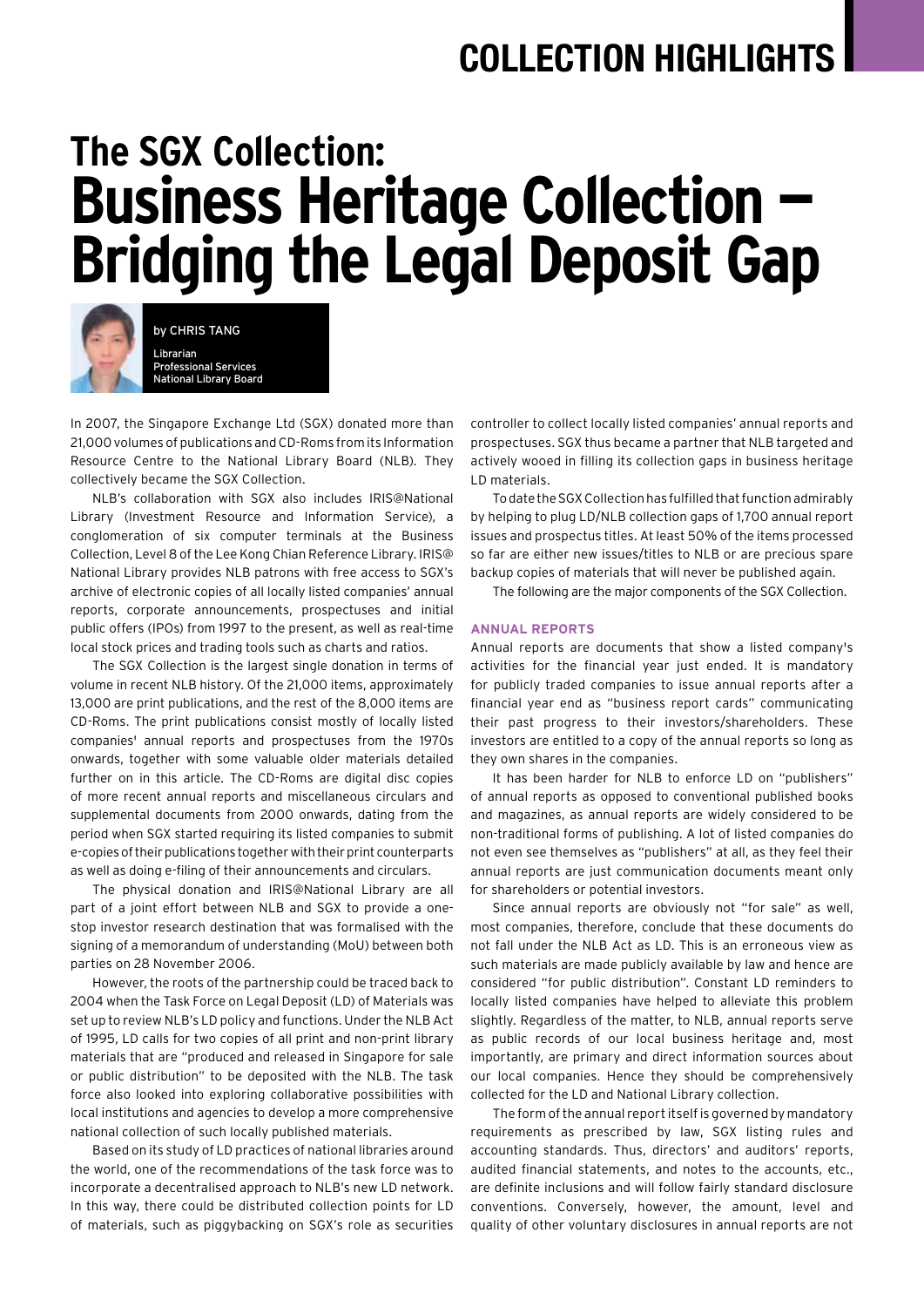## **COLLECTION HIGHLIGHTS**

# **The SGX Collection: Business Heritage Collection — Bridging the Legal Deposit Gap**



by CHRIS TANG Librarian Professional Services National Library Board

In 2007, the Singapore Exchange Ltd (SGX) donated more than 21,000 volumes of publications and CD-Roms from its Information Resource Centre to the National Library Board (NLB). They collectively became the SGX Collection.

NLB's collaboration with SGX also includes IRIS@National Library (Investment Resource and Information Service), a conglomeration of six computer terminals at the Business Collection, Level 8 of the Lee Kong Chian Reference Library. IRIS@ National Library provides NLB patrons with free access to SGX's archive of electronic copies of all locally listed companies' annual reports, corporate announcements, prospectuses and initial public offers (IPOs) from 1997 to the present, as well as real-time local stock prices and trading tools such as charts and ratios.

The SGX Collection is the largest single donation in terms of volume in recent NLB history. Of the 21,000 items, approximately 13,000 are print publications, and the rest of the 8,000 items are CD-Roms. The print publications consist mostly of locally listed companies' annual reports and prospectuses from the 1970s onwards, together with some valuable older materials detailed further on in this article. The CD-Roms are digital disc copies of more recent annual reports and miscellaneous circulars and supplemental documents from 2000 onwards, dating from the period when SGX started requiring its listed companies to submit e-copies of their publications together with their print counterparts as well as doing e-filing of their announcements and circulars.

The physical donation and IRIS@National Library are all part of a joint effort between NLB and SGX to provide a onestop investor research destination that was formalised with the signing of a memorandum of understanding (MoU) between both parties on 28 November 2006.

However, the roots of the partnership could be traced back to 2004 when the Task Force on Legal Deposit (LD) of Materials was set up to review NLB's LD policy and functions. Under the NLB Act of 1995, LD calls for two copies of all print and non-print library materials that are "produced and released in Singapore for sale or public distribution" to be deposited with the NLB. The task force also looked into exploring collaborative possibilities with local institutions and agencies to develop a more comprehensive national collection of such locally published materials.

Based on its study of LD practices of national libraries around the world, one of the recommendations of the task force was to incorporate a decentralised approach to NLB's new LD network. In this way, there could be distributed collection points for LD of materials, such as piggybacking on SGX's role as securities

controller to collect locally listed companies' annual reports and prospectuses. SGX thus became a partner that NLB targeted and actively wooed in filling its collection gaps in business heritage LD materials.

To date the SGX Collection has fulfilled that function admirably by helping to plug LD/NLB collection gaps of 1,700 annual report issues and prospectus titles. At least 50% of the items processed so far are either new issues/titles to NLB or are precious spare backup copies of materials that will never be published again.

The following are the major components of the SGX Collection.

#### **Annual Reports**

Annual reports are documents that show a listed company's activities for the financial year just ended. It is mandatory for publicly traded companies to issue annual reports after a financial year end as "business report cards" communicating their past progress to their investors/shareholders. These investors are entitled to a copy of the annual reports so long as they own shares in the companies.

It has been harder for NLB to enforce LD on "publishers" of annual reports as opposed to conventional published books and magazines, as annual reports are widely considered to be non-traditional forms of publishing. A lot of listed companies do not even see themselves as "publishers" at all, as they feel their annual reports are just communication documents meant only for shareholders or potential investors.

Since annual reports are obviously not "for sale" as well, most companies, therefore, conclude that these documents do not fall under the NLB Act as LD. This is an erroneous view as such materials are made publicly available by law and hence are considered "for public distribution". Constant LD reminders to locally listed companies have helped to alleviate this problem slightly. Regardless of the matter, to NLB, annual reports serve as public records of our local business heritage and, most importantly, are primary and direct information sources about our local companies. Hence they should be comprehensively collected for the LD and National Library collection.

The form of the annual report itself is governed by mandatory requirements as prescribed by law, SGX listing rules and accounting standards. Thus, directors' and auditors' reports, audited financial statements, and notes to the accounts, etc., are definite inclusions and will follow fairly standard disclosure conventions. Conversely, however, the amount, level and quality of other voluntary disclosures in annual reports are not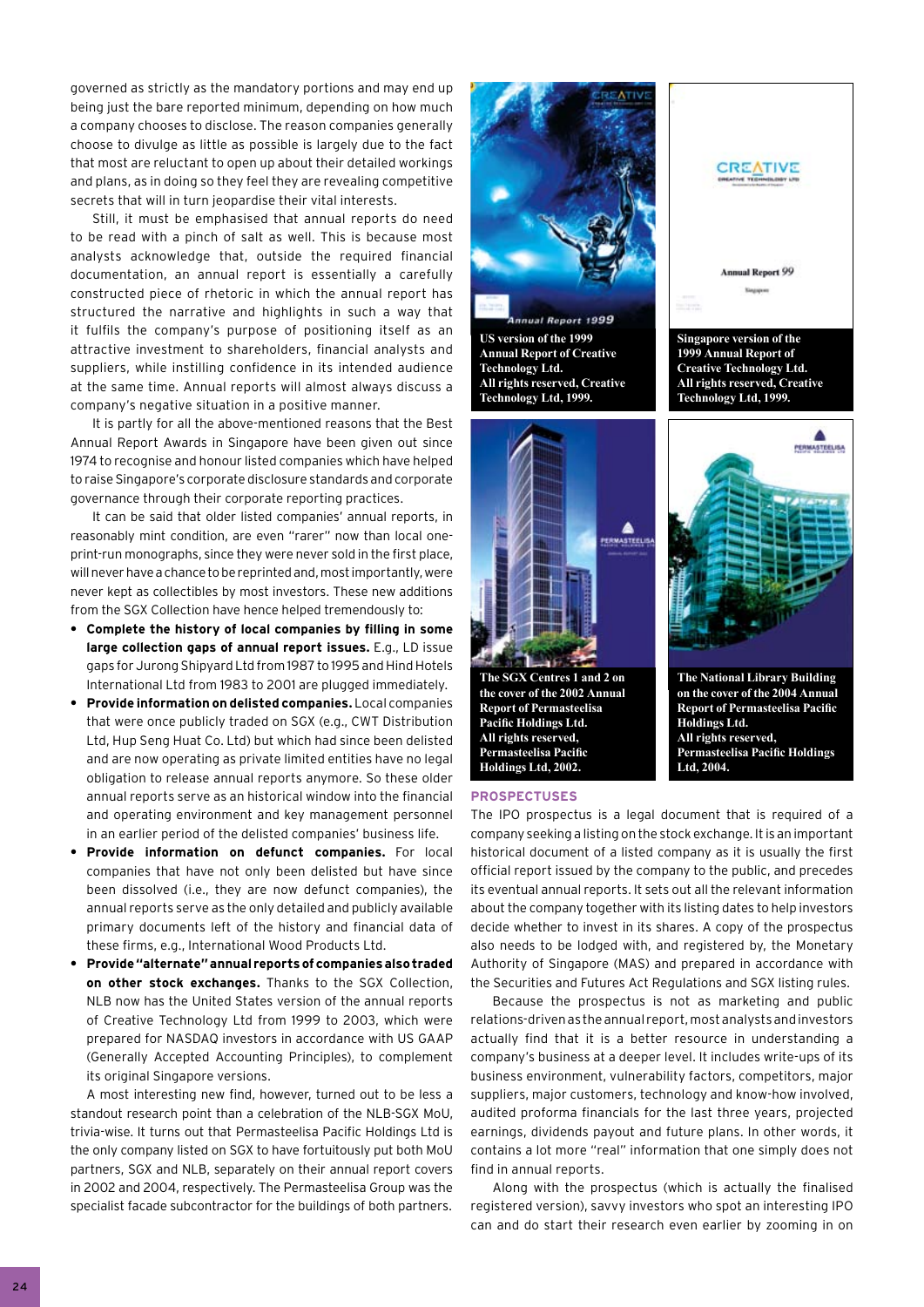governed as strictly as the mandatory portions and may end up being just the bare reported minimum, depending on how much a company chooses to disclose. The reason companies generally choose to divulge as little as possible is largely due to the fact that most are reluctant to open up about their detailed workings and plans, as in doing so they feel they are revealing competitive secrets that will in turn jeopardise their vital interests.

Still, it must be emphasised that annual reports do need to be read with a pinch of salt as well. This is because most analysts acknowledge that, outside the required financial documentation, an annual report is essentially a carefully constructed piece of rhetoric in which the annual report has structured the narrative and highlights in such a way that it fulfils the company's purpose of positioning itself as an attractive investment to shareholders, financial analysts and suppliers, while instilling confidence in its intended audience at the same time. Annual reports will almost always discuss a company's negative situation in a positive manner.

It is partly for all the above-mentioned reasons that the Best Annual Report Awards in Singapore have been given out since 1974 to recognise and honour listed companies which have helped to raise Singapore's corporate disclosure standards and corporate governance through their corporate reporting practices.

It can be said that older listed companies' annual reports, in reasonably mint condition, are even "rarer" now than local oneprint-run monographs, since they were never sold in the first place, will never have a chance to be reprinted and, most importantly, were never kept as collectibles by most investors. These new additions from the SGX Collection have hence helped tremendously to:

- **Complete the history of local companies by filling in some large collection gaps of annual report issues.** E.g., LD issue gaps for Jurong Shipyard Ltd from 1987 to 1995 and Hind Hotels International Ltd from 1983 to 2001 are plugged immediately. **•**
- **Provide information on delisted companies.** Local companies that were once publicly traded on SGX (e.g., CWT Distribution Ltd, Hup Seng Huat Co. Ltd) but which had since been delisted and are now operating as private limited entities have no legal obligation to release annual reports anymore. So these older annual reports serve as an historical window into the financial and operating environment and key management personnel in an earlier period of the delisted companies' business life. **•**
- **Provide information on defunct companies.** For local companies that have not only been delisted but have since been dissolved (i.e., they are now defunct companies), the annual reports serve as the only detailed and publicly available primary documents left of the history and financial data of these firms, e.g., International Wood Products Ltd. **•**
- **Provide "alternate" annual reports of companies also traded • on other stock exchanges.** Thanks to the SGX Collection, NLB now has the United States version of the annual reports of Creative Technology Ltd from 1999 to 2003, which were prepared for NASDAQ investors in accordance with US GAAP (Generally Accepted Accounting Principles), to complement its original Singapore versions.

A most interesting new find, however, turned out to be less a standout research point than a celebration of the NLB-SGX MoU, trivia-wise. It turns out that Permasteelisa Pacific Holdings Ltd is the only company listed on SGX to have fortuitously put both MoU partners, SGX and NLB, separately on their annual report covers in 2002 and 2004, respectively. The Permasteelisa Group was the specialist facade subcontractor for the buildings of both partners.



The IPO prospectus is a legal document that is required of a company seeking a listing on the stock exchange. It is an important historical document of a listed company as it is usually the first official report issued by the company to the public, and precedes its eventual annual reports. It sets out all the relevant information about the company together with its listing dates to help investors decide whether to invest in its shares. A copy of the prospectus also needs to be lodged with, and registered by, the Monetary Authority of Singapore (MAS) and prepared in accordance with the Securities and Futures Act Regulations and SGX listing rules.

Because the prospectus is not as marketing and public relations-driven as the annual report, most analysts and investors actually find that it is a better resource in understanding a company's business at a deeper level. It includes write-ups of its business environment, vulnerability factors, competitors, major suppliers, major customers, technology and know-how involved, audited proforma financials for the last three years, projected earnings, dividends payout and future plans. In other words, it contains a lot more "real" information that one simply does not find in annual reports.

Along with the prospectus (which is actually the finalised registered version), savvy investors who spot an interesting IPO can and do start their research even earlier by zooming in on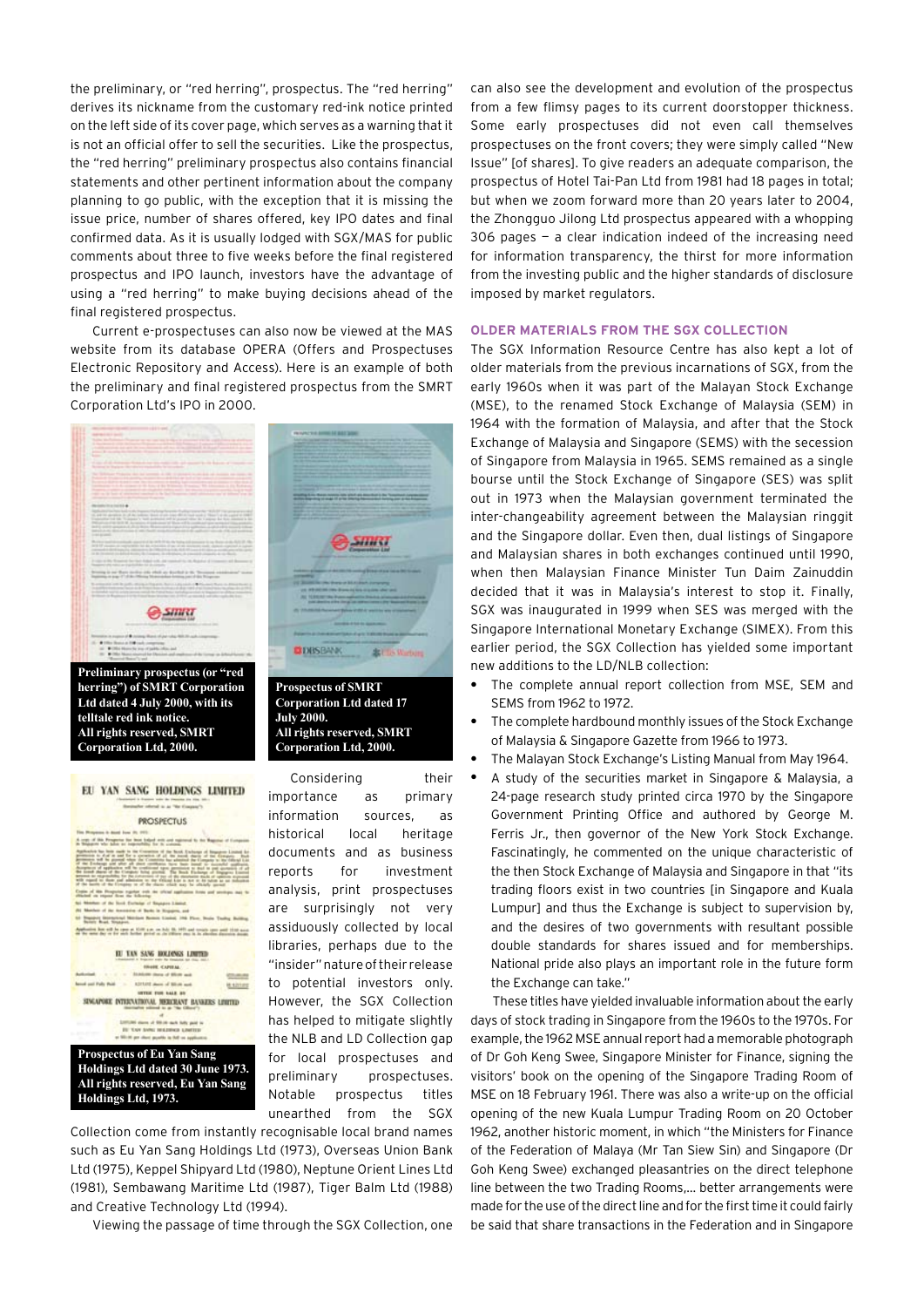the preliminary, or "red herring", prospectus. The "red herring" derives its nickname from the customary red-ink notice printed on the left side of its cover page, which serves as a warning that it is not an official offer to sell the securities. Like the prospectus, the "red herring" preliminary prospectus also contains financial statements and other pertinent information about the company planning to go public, with the exception that it is missing the issue price, number of shares offered, key IPO dates and final confirmed data. As it is usually lodged with SGX/MAS for public comments about three to five weeks before the final registered prospectus and IPO launch, investors have the advantage of using a "red herring" to make buying decisions ahead of the final registered prospectus.

Current e-prospectuses can also now be viewed at the MAS website from its database OPERA (Offers and Prospectuses Electronic Repository and Access). Here is an example of both the preliminary and final registered prospectus from the SMRT Corporation Ltd's IPO in 2000.



**July 2000.**

**All rights reserved, SMRT Corporation Ltd, 2000.**

**Ltd dated 4 July 2000, with its telltale red ink notice. All rights reserved, SMRT Corporation Ltd, 2000.**

| EU YAN SANG HOLDINGS LIMITED<br>Basisahe oftend a at "Be Coupon").                                                                                                                                                                                                                                                                                                                                                                                    |  |
|-------------------------------------------------------------------------------------------------------------------------------------------------------------------------------------------------------------------------------------------------------------------------------------------------------------------------------------------------------------------------------------------------------------------------------------------------------|--|
| <b>PROSPECTUS</b>                                                                                                                                                                                                                                                                                                                                                                                                                                     |  |
| The Musphere is denti June 21, 2012.                                                                                                                                                                                                                                                                                                                                                                                                                  |  |
| A crap of this Perspecta for boot folled with and registered to the Bage<br>In Brangows who dates are expensively for its company                                                                                                                                                                                                                                                                                                                     |  |
| hyphosists has been stade to the Connection of the Stock Stationare of Binancere Lincoln for<br>pression to shall as and for a committee of all the numb charge of the diseases:<br>presence will be proved when the Committee has alsomed the Company to the children has<br>If the Exchange and after all short continuous have been beend<br>the short-model                                                                                       |  |
| Acceptance of application will be creditioned spon permission to deal as paid approach of all<br>Be somed above of the Company furing provinc. The Brack Electorapy of Engageme Economi<br>promot be related by the contented of the of the momente made of species states<br>with regard to them and administr to the Village List is not at its taken as an industrial<br>of the move of the Company on of the shares which may be obtainly assumed |  |
| Crains of this Phogoster market with the sifeted againstone forms and servinges shad to<br>Warted on report first the following                                                                                                                                                                                                                                                                                                                       |  |
| Montan of the limit Europea of Support Limited.                                                                                                                                                                                                                                                                                                                                                                                                       |  |
| Matches of the Australian of Banks in Hispanica, and<br>Henry Morgoved Military Romes Listed, 198 Firm, Brake Tealist                                                                                                                                                                                                                                                                                                                                 |  |
| <b>Balaic Brast, Nisangross</b>                                                                                                                                                                                                                                                                                                                                                                                                                       |  |
| approving from still be open at 10:00 a.m. on held file 1401 and towards cann went 10:00 move<br>the same day or for such factor good as the Officer pays in its election discretion dead                                                                                                                                                                                                                                                             |  |
| <b>13 YAN SANG BOKJANGS LINET</b><br>water the elementation last cleans mans a<br><b>ISSUE CAPIEAL</b>                                                                                                                                                                                                                                                                                                                                                |  |
| We share of Mirak a                                                                                                                                                                                                                                                                                                                                                                                                                                   |  |
| most cost Fully Ruid.<br>\$275.02 deep of \$5.00 as<br>4 1217                                                                                                                                                                                                                                                                                                                                                                                         |  |
| <b><i>INTER TIME RALE AN</i></b><br>SINGAPORE INTERNATIONAL MERCEANT BANKERS LIMITED                                                                                                                                                                                                                                                                                                                                                                  |  |
|                                                                                                                                                                                                                                                                                                                                                                                                                                                       |  |
| 200 starrs of \$91.00 stark fully paid to<br>IT TAY SHAI HILIPICS LIMTER                                                                                                                                                                                                                                                                                                                                                                              |  |
| at \$50.00 per class payable in full on applicated.                                                                                                                                                                                                                                                                                                                                                                                                   |  |
| <b>Prospectus of Eu Yan Sang</b>                                                                                                                                                                                                                                                                                                                                                                                                                      |  |
|                                                                                                                                                                                                                                                                                                                                                                                                                                                       |  |
| Holdings Ltd dated 30 June 1973.                                                                                                                                                                                                                                                                                                                                                                                                                      |  |
| All rights reserved, Eu Yan Sang                                                                                                                                                                                                                                                                                                                                                                                                                      |  |
| Holdings Ltd, 1973.                                                                                                                                                                                                                                                                                                                                                                                                                                   |  |
|                                                                                                                                                                                                                                                                                                                                                                                                                                                       |  |

Considering their importance as primary information sources, as historical local heritage documents and as business reports for investment analysis, print prospectuses are surprisingly not very assiduously collected by local libraries, perhaps due to the "insider" nature of their release to potential investors only. However, the SGX Collection has helped to mitigate slightly the NLB and LD Collection gap for local prospectuses and preliminary prospectuses. Notable prospectus titles unearthed from the SGX

Collection come from instantly recognisable local brand names such as Eu Yan Sang Holdings Ltd (1973), Overseas Union Bank Ltd (1975), Keppel Shipyard Ltd (1980), Neptune Orient Lines Ltd (1981), Sembawang Maritime Ltd (1987), Tiger Balm Ltd (1988) and Creative Technology Ltd (1994).

Viewing the passage of time through the SGX Collection, one

can also see the development and evolution of the prospectus from a few flimsy pages to its current doorstopper thickness. Some early prospectuses did not even call themselves prospectuses on the front covers; they were simply called "New Issue" [of shares]. To give readers an adequate comparison, the prospectus of Hotel Tai-Pan Ltd from 1981 had 18 pages in total; but when we zoom forward more than 20 years later to 2004, the Zhongguo Jilong Ltd prospectus appeared with a whopping  $306$  pages  $-$  a clear indication indeed of the increasing need for information transparency, the thirst for more information from the investing public and the higher standards of disclosure imposed by market regulators.

#### **Older Materials from the SGX Collection**

The SGX Information Resource Centre has also kept a lot of older materials from the previous incarnations of SGX, from the early 1960s when it was part of the Malayan Stock Exchange (MSE), to the renamed Stock Exchange of Malaysia (SEM) in 1964 with the formation of Malaysia, and after that the Stock Exchange of Malaysia and Singapore (SEMS) with the secession of Singapore from Malaysia in 1965. SEMS remained as a single bourse until the Stock Exchange of Singapore (SES) was split out in 1973 when the Malaysian government terminated the inter-changeability agreement between the Malaysian ringgit and the Singapore dollar. Even then, dual listings of Singapore and Malaysian shares in both exchanges continued until 1990, when then Malaysian Finance Minister Tun Daim Zainuddin decided that it was in Malaysia's interest to stop it. Finally, SGX was inaugurated in 1999 when SES was merged with the Singapore International Monetary Exchange (SIMEX). From this earlier period, the SGX Collection has yielded some important new additions to the LD/NLB collection:

- The complete annual report collection from MSE, SEM and SEMS from 1962 to 1972. **•**
- The complete hardbound monthly issues of the Stock Exchange of Malaysia & Singapore Gazette from 1966 to 1973. **•**
- The Malayan Stock Exchange's Listing Manual from May 1964. **•**
- A study of the securities market in Singapore & Malaysia, a 24-page research study printed circa 1970 by the Singapore Government Printing Office and authored by George M. Ferris Jr., then governor of the New York Stock Exchange. Fascinatingly, he commented on the unique characteristic of the then Stock Exchange of Malaysia and Singapore in that "its trading floors exist in two countries [in Singapore and Kuala Lumpur] and thus the Exchange is subject to supervision by, and the desires of two governments with resultant possible double standards for shares issued and for memberships. National pride also plays an important role in the future form the Exchange can take." **•**

These titles have yielded invaluable information about the early days of stock trading in Singapore from the 1960s to the 1970s. For example, the 1962 MSE annual report had a memorable photograph of Dr Goh Keng Swee, Singapore Minister for Finance, signing the visitors' book on the opening of the Singapore Trading Room of MSE on 18 February 1961. There was also a write-up on the official opening of the new Kuala Lumpur Trading Room on 20 October 1962, another historic moment, in which "the Ministers for Finance of the Federation of Malaya (Mr Tan Siew Sin) and Singapore (Dr Goh Keng Swee) exchanged pleasantries on the direct telephone line between the two Trading Rooms,… better arrangements were made for the use of the direct line and for the first time it could fairly be said that share transactions in the Federation and in Singapore